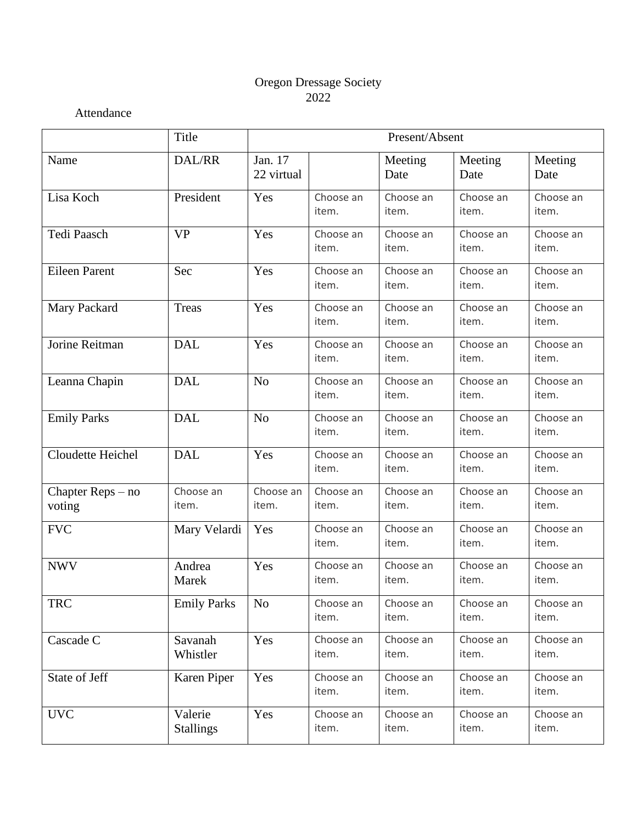# Oregon Dressage Society 2022

Attendance

|                             | Title                       | Present/Absent        |                    |                    |                    |                    |  |
|-----------------------------|-----------------------------|-----------------------|--------------------|--------------------|--------------------|--------------------|--|
| Name                        | DAL/RR                      | Jan. 17<br>22 virtual |                    | Meeting<br>Date    | Meeting<br>Date    | Meeting<br>Date    |  |
| Lisa Koch                   | President                   | Yes                   | Choose an<br>item. | Choose an<br>item. | Choose an<br>item. | Choose an<br>item. |  |
| Tedi Paasch                 | <b>VP</b>                   | Yes                   | Choose an<br>item. | Choose an<br>item. | Choose an<br>item. | Choose an<br>item. |  |
| <b>Eileen Parent</b>        | Sec                         | Yes                   | Choose an<br>item. | Choose an<br>item. | Choose an<br>item. | Choose an<br>item. |  |
| Mary Packard                | <b>Treas</b>                | Yes                   | Choose an<br>item. | Choose an<br>item. | Choose an<br>item. | Choose an<br>item. |  |
| Jorine Reitman              | <b>DAL</b>                  | Yes                   | Choose an<br>item. | Choose an<br>item. | Choose an<br>item. | Choose an<br>item. |  |
| Leanna Chapin               | <b>DAL</b>                  | N <sub>o</sub>        | Choose an<br>item. | Choose an<br>item. | Choose an<br>item. | Choose an<br>item. |  |
| <b>Emily Parks</b>          | <b>DAL</b>                  | N <sub>o</sub>        | Choose an<br>item. | Choose an<br>item. | Choose an<br>item. | Choose an<br>item. |  |
| Cloudette Heichel           | <b>DAL</b>                  | Yes                   | Choose an<br>item. | Choose an<br>item. | Choose an<br>item. | Choose an<br>item. |  |
| Chapter Reps – no<br>voting | Choose an<br>item.          | Choose an<br>item.    | Choose an<br>item. | Choose an<br>item. | Choose an<br>item. | Choose an<br>item. |  |
| <b>FVC</b>                  | Mary Velardi                | Yes                   | Choose an<br>item. | Choose an<br>item. | Choose an<br>item. | Choose an<br>item. |  |
| <b>NWV</b>                  | Andrea<br>Marek             | Yes                   | Choose an<br>item. | Choose an<br>item. | Choose an<br>item. | Choose an<br>item. |  |
| <b>TRC</b>                  | <b>Emily Parks</b>          | N <sub>o</sub>        | Choose an<br>item. | Choose an<br>item. | Choose an<br>item. | Choose an<br>item. |  |
| Cascade C                   | Savanah<br>Whistler         | Yes                   | Choose an<br>item. | Choose an<br>item. | Choose an<br>item. | Choose an<br>item. |  |
| State of Jeff               | Karen Piper                 | Yes                   | Choose an<br>item. | Choose an<br>item. | Choose an<br>item. | Choose an<br>item. |  |
| <b>UVC</b>                  | Valerie<br><b>Stallings</b> | Yes                   | Choose an<br>item. | Choose an<br>item. | Choose an<br>item. | Choose an<br>item. |  |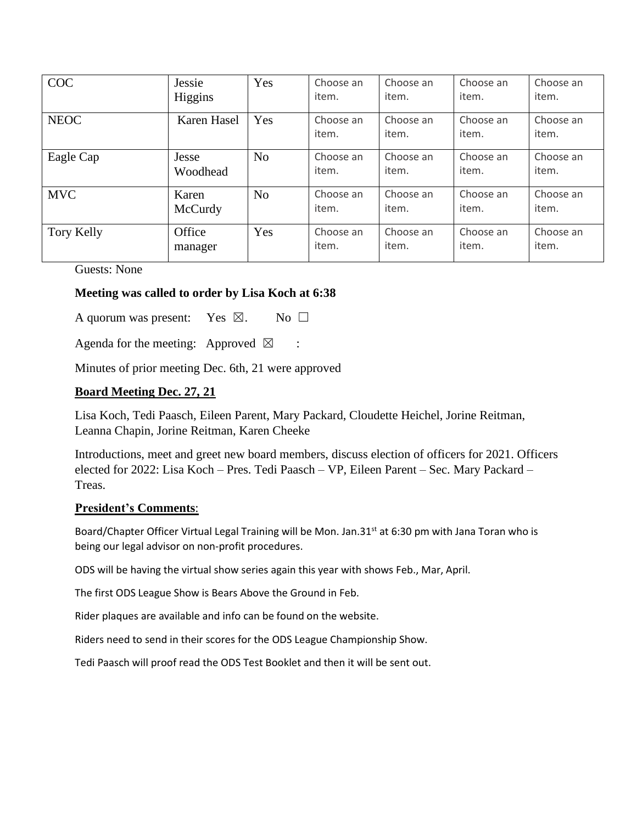| <b>COC</b>  | Jessie<br>Higgins | Yes            | Choose an<br>item. | Choose an<br>item. | Choose an<br>item. | Choose an<br>item. |
|-------------|-------------------|----------------|--------------------|--------------------|--------------------|--------------------|
| <b>NEOC</b> | Karen Hasel       | Yes            | Choose an<br>item. | Choose an<br>item. | Choose an<br>item. | Choose an<br>item. |
| Eagle Cap   | Jesse<br>Woodhead | N <sub>0</sub> | Choose an<br>item. | Choose an<br>item. | Choose an<br>item. | Choose an<br>item. |
| <b>MVC</b>  | Karen<br>McCurdy  | N <sub>0</sub> | Choose an<br>item. | Choose an<br>item. | Choose an<br>item. | Choose an<br>item. |
| Tory Kelly  | Office<br>manager | Yes            | Choose an<br>item. | Choose an<br>item. | Choose an<br>item. | Choose an<br>item. |

Guests: None

# **Meeting was called to order by Lisa Koch at 6:38**

A quorum was present: Yes  $\boxtimes$ . No  $\square$ 

Agenda for the meeting: Approved  $\boxtimes$  :

Minutes of prior meeting Dec. 6th, 21 were approved

# **Board Meeting Dec. 27, 21**

Lisa Koch, Tedi Paasch, Eileen Parent, Mary Packard, Cloudette Heichel, Jorine Reitman, Leanna Chapin, Jorine Reitman, Karen Cheeke

Introductions, meet and greet new board members, discuss election of officers for 2021. Officers elected for 2022: Lisa Koch – Pres. Tedi Paasch – VP, Eileen Parent – Sec. Mary Packard – Treas.

## **President's Comments**:

Board/Chapter Officer Virtual Legal Training will be Mon. Jan.31<sup>st</sup> at 6:30 pm with Jana Toran who is being our legal advisor on non-profit procedures.

ODS will be having the virtual show series again this year with shows Feb., Mar, April.

The first ODS League Show is Bears Above the Ground in Feb.

Rider plaques are available and info can be found on the website.

Riders need to send in their scores for the ODS League Championship Show.

Tedi Paasch will proof read the ODS Test Booklet and then it will be sent out.